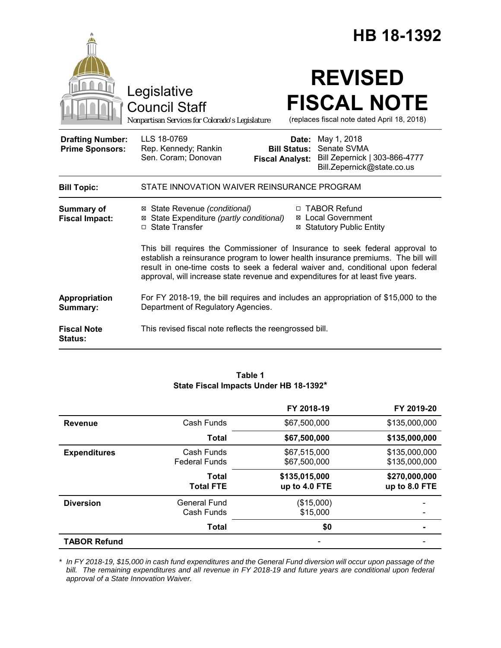|                                                   |                                                                                                                                                                                                                                                                                                                                         | HB 18-1392                                                                          |                                                             |
|---------------------------------------------------|-----------------------------------------------------------------------------------------------------------------------------------------------------------------------------------------------------------------------------------------------------------------------------------------------------------------------------------------|-------------------------------------------------------------------------------------|-------------------------------------------------------------|
|                                                   | Legislative<br><b>Council Staff</b><br>Nonpartisan Services for Colorado's Legislature                                                                                                                                                                                                                                                  | <b>REVISED</b><br><b>FISCAL NOTE</b><br>(replaces fiscal note dated April 18, 2018) |                                                             |
| <b>Drafting Number:</b><br><b>Prime Sponsors:</b> | LLS 18-0769<br>Rep. Kennedy; Rankin<br>Sen. Coram; Donovan<br><b>Fiscal Analyst:</b>                                                                                                                                                                                                                                                    | May 1, 2018<br>Date:<br>Senate SVMA<br><b>Bill Status:</b>                          | Bill Zepernick   303-866-4777<br>Bill.Zepernick@state.co.us |
| <b>Bill Topic:</b>                                | STATE INNOVATION WAIVER REINSURANCE PROGRAM                                                                                                                                                                                                                                                                                             |                                                                                     |                                                             |
| Summary of<br><b>Fiscal Impact:</b>               | ⊠ State Revenue (conditional)<br>⊠ State Expenditure (partly conditional)<br>□ State Transfer                                                                                                                                                                                                                                           | □ TABOR Refund<br><b>⊠</b> Local Government<br><b>⊠ Statutory Public Entity</b>     |                                                             |
|                                                   | This bill requires the Commissioner of Insurance to seek federal approval to<br>establish a reinsurance program to lower health insurance premiums. The bill will<br>result in one-time costs to seek a federal waiver and, conditional upon federal<br>approval, will increase state revenue and expenditures for at least five years. |                                                                                     |                                                             |
| Appropriation<br>Summary:                         | For FY 2018-19, the bill requires and includes an appropriation of \$15,000 to the<br>Department of Regulatory Agencies.                                                                                                                                                                                                                |                                                                                     |                                                             |
| <b>Fiscal Note</b><br><b>Status:</b>              | This revised fiscal note reflects the reengrossed bill.                                                                                                                                                                                                                                                                                 |                                                                                     |                                                             |

# **Table 1 State Fiscal Impacts Under HB 18-1392\***

|                     |                                    | FY 2018-19                     | FY 2019-20                     |
|---------------------|------------------------------------|--------------------------------|--------------------------------|
| <b>Revenue</b>      | Cash Funds                         | \$67,500,000                   | \$135,000,000                  |
|                     | <b>Total</b>                       | \$67,500,000                   | \$135,000,000                  |
| <b>Expenditures</b> | Cash Funds<br><b>Federal Funds</b> | \$67,515,000<br>\$67,500,000   | \$135,000,000<br>\$135,000,000 |
|                     | Total<br><b>Total FTE</b>          | \$135,015,000<br>up to 4.0 FTE | \$270,000,000<br>up to 8.0 FTE |
| <b>Diversion</b>    | <b>General Fund</b><br>Cash Funds  | (\$15,000)<br>\$15,000         |                                |
|                     | <b>Total</b>                       | \$0                            | -                              |
| <b>TABOR Refund</b> |                                    |                                |                                |

*\* In FY 2018-19, \$15,000 in cash fund expenditures and the General Fund diversion will occur upon passage of the bill. The remaining expenditures and all revenue in FY 2018-19 and future years are conditional upon federal approval of a State Innovation Waiver.*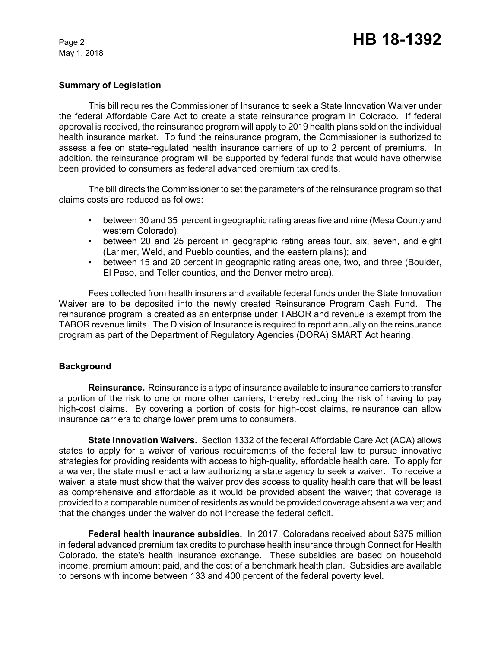# **Summary of Legislation**

This bill requires the Commissioner of Insurance to seek a State Innovation Waiver under the federal Affordable Care Act to create a state reinsurance program in Colorado. If federal approval is received, the reinsurance program will apply to 2019 health plans sold on the individual health insurance market. To fund the reinsurance program, the Commissioner is authorized to assess a fee on state-regulated health insurance carriers of up to 2 percent of premiums. In addition, the reinsurance program will be supported by federal funds that would have otherwise been provided to consumers as federal advanced premium tax credits.

The bill directs the Commissioner to set the parameters of the reinsurance program so that claims costs are reduced as follows:

- between 30 and 35 percent in geographic rating areas five and nine (Mesa County and western Colorado);
- between 20 and 25 percent in geographic rating areas four, six, seven, and eight (Larimer, Weld, and Pueblo counties, and the eastern plains); and
- between 15 and 20 percent in geographic rating areas one, two, and three (Boulder, El Paso, and Teller counties, and the Denver metro area).

Fees collected from health insurers and available federal funds under the State Innovation Waiver are to be deposited into the newly created Reinsurance Program Cash Fund. The reinsurance program is created as an enterprise under TABOR and revenue is exempt from the TABOR revenue limits. The Division of Insurance is required to report annually on the reinsurance program as part of the Department of Regulatory Agencies (DORA) SMART Act hearing.

# **Background**

**Reinsurance.** Reinsurance is a type of insurance available to insurance carriers to transfer a portion of the risk to one or more other carriers, thereby reducing the risk of having to pay high-cost claims. By covering a portion of costs for high-cost claims, reinsurance can allow insurance carriers to charge lower premiums to consumers.

**State Innovation Waivers.** Section 1332 of the federal Affordable Care Act (ACA) allows states to apply for a waiver of various requirements of the federal law to pursue innovative strategies for providing residents with access to high-quality, affordable health care. To apply for a waiver, the state must enact a law authorizing a state agency to seek a waiver. To receive a waiver, a state must show that the waiver provides access to quality health care that will be least as comprehensive and affordable as it would be provided absent the waiver; that coverage is provided to a comparable number of residents as would be provided coverage absent a waiver; and that the changes under the waiver do not increase the federal deficit.

**Federal health insurance subsidies.** In 2017, Coloradans received about \$375 million in federal advanced premium tax credits to purchase health insurance through Connect for Health Colorado, the state's health insurance exchange. These subsidies are based on household income, premium amount paid, and the cost of a benchmark health plan. Subsidies are available to persons with income between 133 and 400 percent of the federal poverty level.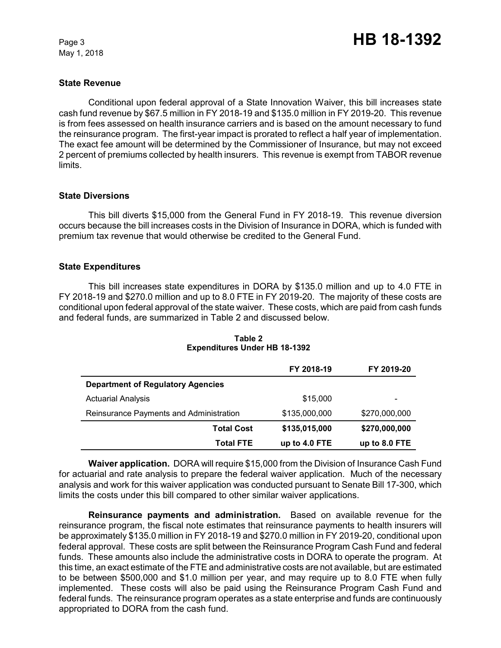# **State Revenue**

Conditional upon federal approval of a State Innovation Waiver, this bill increases state cash fund revenue by \$67.5 million in FY 2018-19 and \$135.0 million in FY 2019-20. This revenue is from fees assessed on health insurance carriers and is based on the amount necessary to fund the reinsurance program. The first-year impact is prorated to reflect a half year of implementation. The exact fee amount will be determined by the Commissioner of Insurance, but may not exceed 2 percent of premiums collected by health insurers. This revenue is exempt from TABOR revenue limits.

# **State Diversions**

This bill diverts \$15,000 from the General Fund in FY 2018-19. This revenue diversion occurs because the bill increases costs in the Division of Insurance in DORA, which is funded with premium tax revenue that would otherwise be credited to the General Fund.

# **State Expenditures**

This bill increases state expenditures in DORA by \$135.0 million and up to 4.0 FTE in FY 2018-19 and \$270.0 million and up to 8.0 FTE in FY 2019-20. The majority of these costs are conditional upon federal approval of the state waiver. These costs, which are paid from cash funds and federal funds, are summarized in Table 2 and discussed below.

|                                          | FY 2018-19    | FY 2019-20    |
|------------------------------------------|---------------|---------------|
| <b>Department of Regulatory Agencies</b> |               |               |
| <b>Actuarial Analysis</b>                | \$15,000      |               |
| Reinsurance Payments and Administration  | \$135,000,000 | \$270,000,000 |
| <b>Total Cost</b>                        | \$135,015,000 | \$270,000,000 |
| <b>Total FTE</b>                         | up to 4.0 FTE | up to 8.0 FTE |

#### **Table 2 Expenditures Under HB 18-1392**

**Waiver application.** DORA will require \$15,000 from the Division of Insurance Cash Fund for actuarial and rate analysis to prepare the federal waiver application. Much of the necessary analysis and work for this waiver application was conducted pursuant to Senate Bill 17-300, which limits the costs under this bill compared to other similar waiver applications.

**Reinsurance payments and administration.** Based on available revenue for the reinsurance program, the fiscal note estimates that reinsurance payments to health insurers will be approximately \$135.0 million in FY 2018-19 and \$270.0 million in FY 2019-20, conditional upon federal approval. These costs are split between the Reinsurance Program Cash Fund and federal funds. These amounts also include the administrative costs in DORA to operate the program. At this time, an exact estimate of the FTE and administrative costs are not available, but are estimated to be between \$500,000 and \$1.0 million per year, and may require up to 8.0 FTE when fully implemented. These costs will also be paid using the Reinsurance Program Cash Fund and federal funds. The reinsurance program operates as a state enterprise and funds are continuously appropriated to DORA from the cash fund.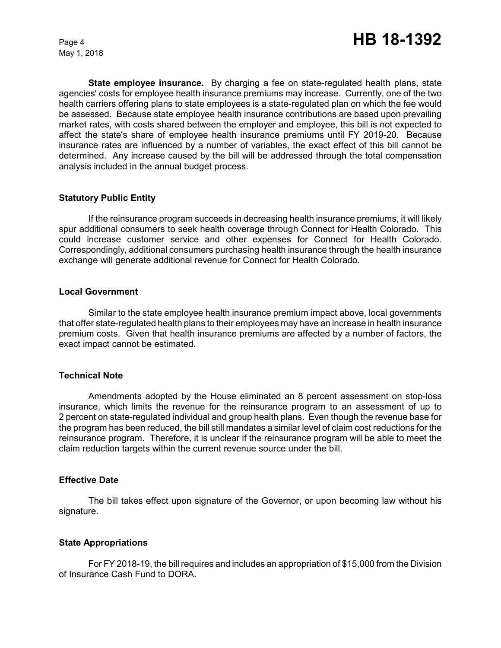**State employee insurance.** By charging a fee on state-regulated health plans, state agencies' costs for employee health insurance premiums may increase. Currently, one of the two health carriers offering plans to state employees is a state-regulated plan on which the fee would be assessed. Because state employee health insurance contributions are based upon prevailing market rates, with costs shared between the employer and employee, this bill is not expected to affect the state's share of employee health insurance premiums until FY 2019-20. Because insurance rates are influenced by a number of variables, the exact effect of this bill cannot be determined. Any increase caused by the bill will be addressed through the total compensation analysis included in the annual budget process.

# **Statutory Public Entity**

If the reinsurance program succeeds in decreasing health insurance premiums, it will likely spur additional consumers to seek health coverage through Connect for Health Colorado. This could increase customer service and other expenses for Connect for Health Colorado. Correspondingly, additional consumers purchasing health insurance through the health insurance exchange will generate additional revenue for Connect for Health Colorado.

# **Local Government**

Similar to the state employee health insurance premium impact above, local governments that offer state-regulated health plans to their employees may have an increase in health insurance premium costs. Given that health insurance premiums are affected by a number of factors, the exact impact cannot be estimated.

# **Technical Note**

Amendments adopted by the House eliminated an 8 percent assessment on stop-loss insurance, which limits the revenue for the reinsurance program to an assessment of up to 2 percent on state-regulated individual and group health plans. Even though the revenue base for the program has been reduced, the bill still mandates a similar level of claim cost reductions for the reinsurance program. Therefore, it is unclear if the reinsurance program will be able to meet the claim reduction targets within the current revenue source under the bill.

# **Effective Date**

The bill takes effect upon signature of the Governor, or upon becoming law without his signature.

# **State Appropriations**

For FY 2018-19, the bill requires and includes an appropriation of \$15,000 from the Division of Insurance Cash Fund to DORA.